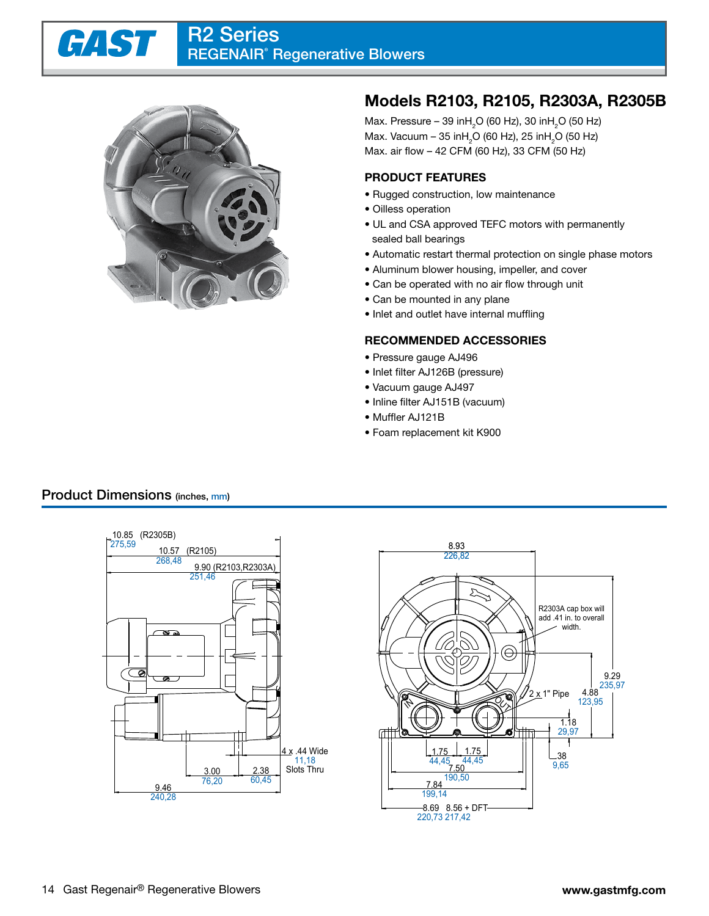#### R2 Series GAST | REGENAIR*®* Regenerative Blowers



# **Models R2103, R2105, R2303A, R2305B**

Max. Pressure – 39 in $\mathsf{H}_2\mathsf{O}$  (60 Hz), 30 in $\mathsf{H}_2\mathsf{O}$  (50 Hz) Max. Vacuum – 35 in $\mathsf{H}_2\mathsf{O}$  (60 Hz), 25 in $\mathsf{H}_2\mathsf{O}$  (50 Hz) Max. air flow – 42 CFM (60 Hz), 33 CFM (50 Hz)

#### **PRODUCT FEATURES**

- Rugged construction, low maintenance
- Oilless operation
- UL and CSA approved TEFC motors with permanently sealed ball bearings
- Automatic restart thermal protection on single phase motors
- Aluminum blower housing, impeller, and cover
- Can be operated with no air flow through unit
- Can be mounted in any plane
- Inlet and outlet have internal muffling

#### **RECOMMENDED ACCESSORIES**

- Pressure gauge AJ496
- Inlet filter AJ126B (pressure)
- Vacuum gauge AJ497
- Inline filter AJ151B (vacuum)
- Muffler AJ121B
- Foam replacement kit K900

### Product Dimensions (inches, mm)